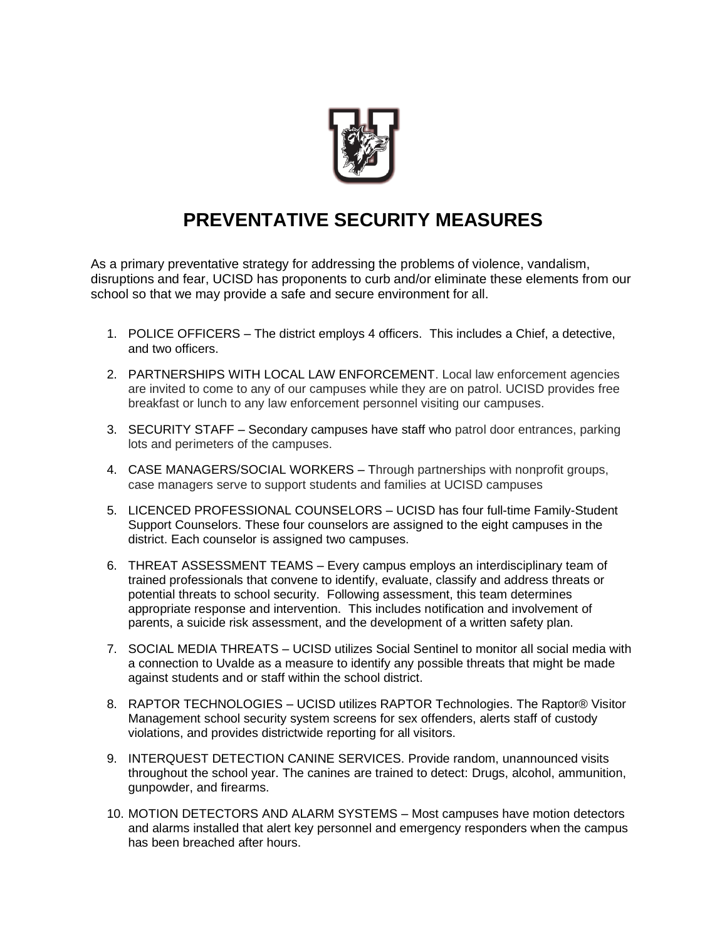

## **PREVENTATIVE SECURITY MEASURES**

As a primary preventative strategy for addressing the problems of violence, vandalism, disruptions and fear, UCISD has proponents to curb and/or eliminate these elements from our school so that we may provide a safe and secure environment for all.

- 1. POLICE OFFICERS The district employs 4 officers. This includes a Chief, a detective, and two officers.
- 2. PARTNERSHIPS WITH LOCAL LAW ENFORCEMENT. Local law enforcement agencies are invited to come to any of our campuses while they are on patrol. UCISD provides free breakfast or lunch to any law enforcement personnel visiting our campuses.
- 3. SECURITY STAFF Secondary campuses have staff who patrol door entrances, parking lots and perimeters of the campuses.
- 4. CASE MANAGERS/SOCIAL WORKERS Through partnerships with nonprofit groups, case managers serve to support students and families at UCISD campuses
- 5. LICENCED PROFESSIONAL COUNSELORS UCISD has four full-time Family-Student Support Counselors. These four counselors are assigned to the eight campuses in the district. Each counselor is assigned two campuses.
- 6. THREAT ASSESSMENT TEAMS Every campus employs an interdisciplinary team of trained professionals that convene to identify, evaluate, classify and address threats or potential threats to school security. Following assessment, this team determines appropriate response and intervention. This includes notification and involvement of parents, a suicide risk assessment, and the development of a written safety plan.
- 7. SOCIAL MEDIA THREATS UCISD utilizes Social Sentinel to monitor all social media with a connection to Uvalde as a measure to identify any possible threats that might be made against students and or staff within the school district.
- 8. RAPTOR TECHNOLOGIES UCISD utilizes RAPTOR Technologies. The Raptor® Visitor Management school security system screens for sex offenders, alerts staff of custody violations, and provides districtwide reporting for all visitors.
- 9. INTERQUEST DETECTION CANINE SERVICES. Provide random, unannounced visits throughout the school year. The canines are trained to detect: Drugs, alcohol, ammunition, gunpowder, and firearms.
- 10. MOTION DETECTORS AND ALARM SYSTEMS Most campuses have motion detectors and alarms installed that alert key personnel and emergency responders when the campus has been breached after hours.